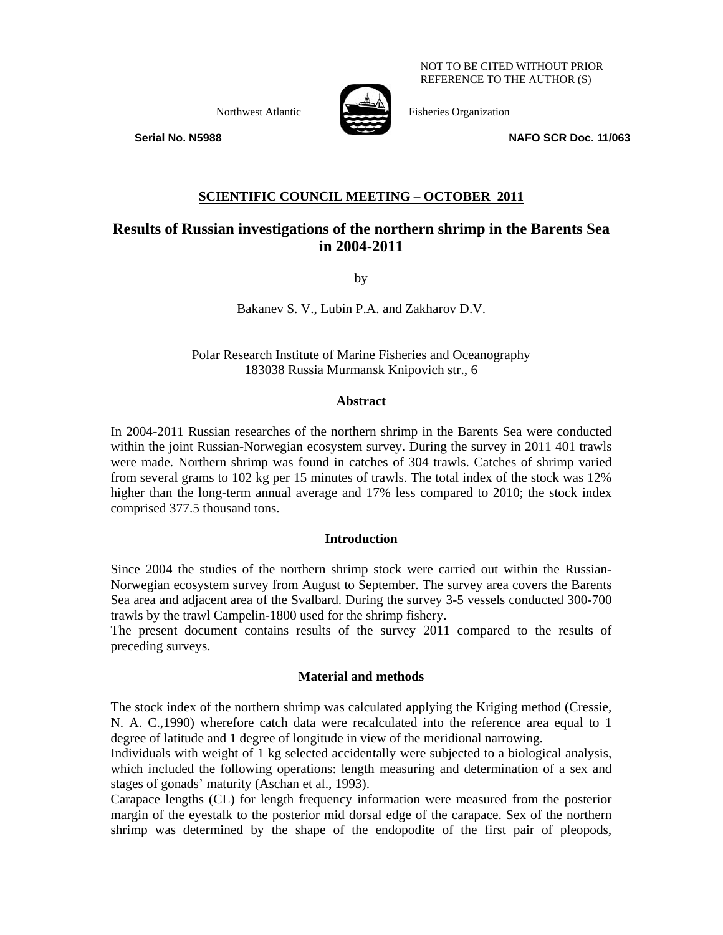NOT TO BE CITED WITHOUT PRIOR REFERENCE TO THE AUTHOR (S)



Northwest Atlantic Fisheries Organization

 **Serial No. N5988 NAFO SCR Doc. 11/063** 

## **SCIENTIFIC COUNCIL MEETING – OCTOBER 2011**

# **Results of Russian investigations of the northern shrimp in the Barents Sea in 2004-2011**

by

Bakanev S. V., Lubin P.A. and Zakharov D.V.

Polar Research Institute of Marine Fisheries and Oceanography 183038 Russia Murmansk Knipovich str., 6

### **Abstract**

In 2004-2011 Russian researches of the northern shrimp in the Barents Sea were conducted within the joint Russian-Norwegian ecosystem survey. During the survey in 2011 401 trawls were made. Northern shrimp was found in catches of 304 trawls. Catches of shrimp varied from several grams to 102 kg per 15 minutes of trawls. The total index of the stock was 12% higher than the long-term annual average and 17% less compared to 2010; the stock index comprised 377.5 thousand tons.

### **Introduction**

Since 2004 the studies of the northern shrimp stock were carried out within the Russian-Norwegian ecosystem survey from August to September. The survey area covers the Barents Sea area and adjacent area of the Svalbard. During the survey 3-5 vessels conducted 300-700 trawls by the trawl Campelin-1800 used for the shrimp fishery.

The present document contains results of the survey 2011 compared to the results of preceding surveys.

## **Material and methods**

The stock index of the northern shrimp was calculated applying the Kriging method (Cressie, N. A. C.,1990) wherefore catch data were recalculated into the reference area equal to 1 degree of latitude and 1 degree of longitude in view of the meridional narrowing.

Individuals with weight of 1 kg selected accidentally were subjected to a biological analysis, which included the following operations: length measuring and determination of a sex and stages of gonads' maturity (Aschan et al., 1993).

Carapace lengths (CL) for length frequency information were measured from the posterior margin of the eyestalk to the posterior mid dorsal edge of the carapace. Sex of the northern shrimp was determined by the shape of the endopodite of the first pair of pleopods,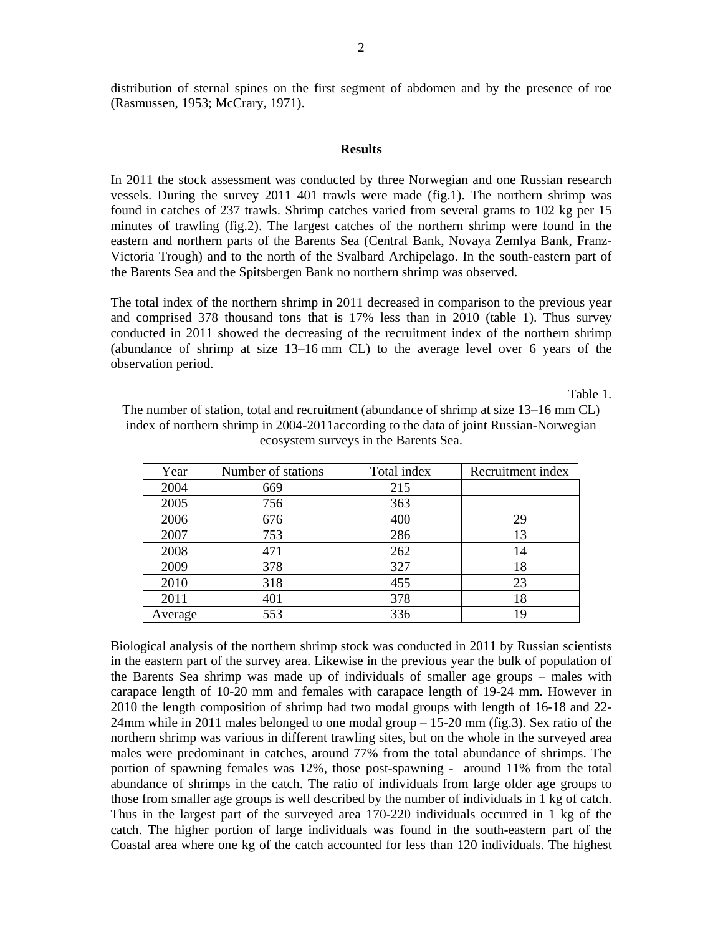distribution of sternal spines on the first segment of abdomen and by the presence of roe (Rasmussen, 1953; McCrary, 1971).

#### **Results**

In 2011 the stock assessment was conducted by three Norwegian and one Russian research vessels. During the survey 2011 401 trawls were made (fig.1). The northern shrimp was found in catches of 237 trawls. Shrimp catches varied from several grams to 102 kg per 15 minutes of trawling (fig.2). The largest catches of the northern shrimp were found in the eastern and northern parts of the Barents Sea (Central Bank, Novaya Zemlya Bank, Franz-Victoria Trough) and to the north of the Svalbard Archipelago. In the south-eastern part of the Barents Sea and the Spitsbergen Bank no northern shrimp was observed.

The total index of the northern shrimp in 2011 decreased in comparison to the previous year and comprised 378 thousand tons that is 17% less than in 2010 (table 1). Thus survey conducted in 2011 showed the decreasing of the recruitment index of the northern shrimp (abundance of shrimp at size 13–16 mm CL) to the average level over 6 years of the observation period.

Table 1.

| The number of station, total and recruitment (abundance of shrimp at size 13–16 mm CL) |
|----------------------------------------------------------------------------------------|
| index of northern shrimp in 2004-2011 according to the data of joint Russian-Norwegian |
| ecosystem surveys in the Barents Sea.                                                  |

| Year    | Number of stations | Total index | Recruitment index |
|---------|--------------------|-------------|-------------------|
| 2004    | 669                | 215         |                   |
| 2005    | 756                | 363         |                   |
| 2006    | 676                | 400         | 29                |
| 2007    | 753                | 286         | 13                |
| 2008    | 471                | 262         | 14                |
| 2009    | 378                | 327         | 18                |
| 2010    | 318                | 455         | 23                |
| 2011    | 401                | 378         | 18                |
| Average | 553                | 336         | 19                |

Biological analysis of the northern shrimp stock was conducted in 2011 by Russian scientists in the eastern part of the survey area. Likewise in the previous year the bulk of population of the Barents Sea shrimp was made up of individuals of smaller age groups – males with carapace length of 10-20 mm and females with carapace length of 19-24 mm. However in 2010 the length composition of shrimp had two modal groups with length of 16-18 and 22- 24mm while in 2011 males belonged to one modal group – 15-20 mm (fig.3). Sex ratio of the northern shrimp was various in different trawling sites, but on the whole in the surveyed area males were predominant in catches, around 77% from the total abundance of shrimps. The portion of spawning females was 12%, those post-spawning - around 11% from the total abundance of shrimps in the catch. The ratio of individuals from large older age groups to those from smaller age groups is well described by the number of individuals in 1 kg of catch. Thus in the largest part of the surveyed area 170-220 individuals occurred in 1 kg of the catch. The higher portion of large individuals was found in the south-eastern part of the Coastal area where one kg of the catch accounted for less than 120 individuals. The highest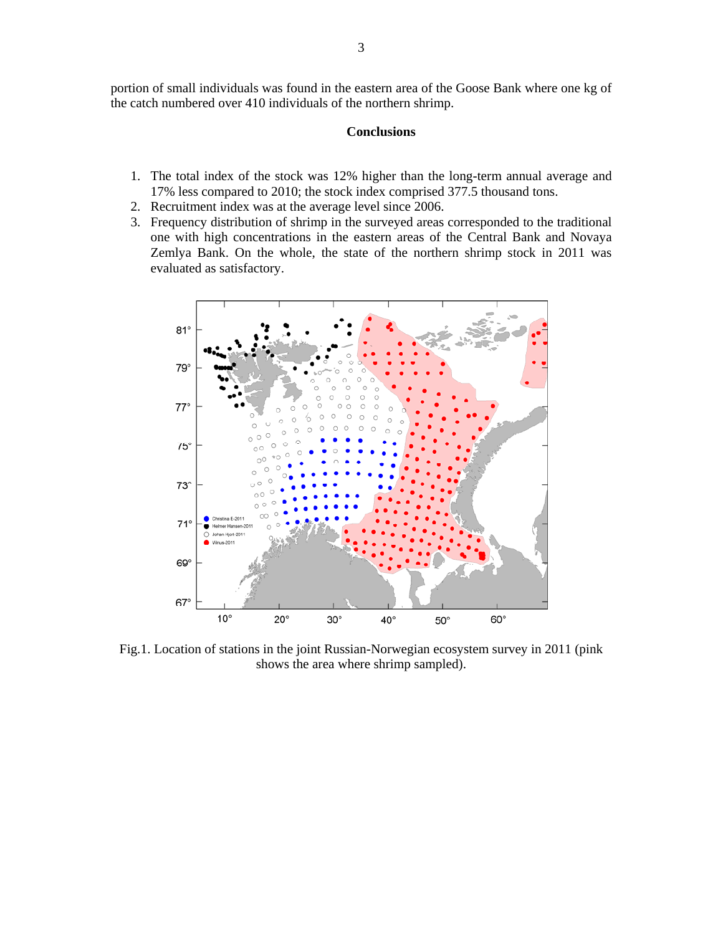portion of small individuals was found in the eastern area of the Goose Bank where one kg of the catch numbered over 410 individuals of the northern shrimp.

### **Conclusions**

- 1. The total index of the stock was 12% higher than the long-term annual average and 17% less compared to 2010; the stock index comprised 377.5 thousand tons.
- 2. Recruitment index was at the average level since 2006.
- 3. Frequency distribution of shrimp in the surveyed areas corresponded to the traditional one with high concentrations in the eastern areas of the Central Bank and Novaya Zemlya Bank. On the whole, the state of the northern shrimp stock in 2011 was evaluated as satisfactory.



Fig.1. Location of stations in the joint Russian-Norwegian ecosystem survey in 2011 (pink shows the area where shrimp sampled).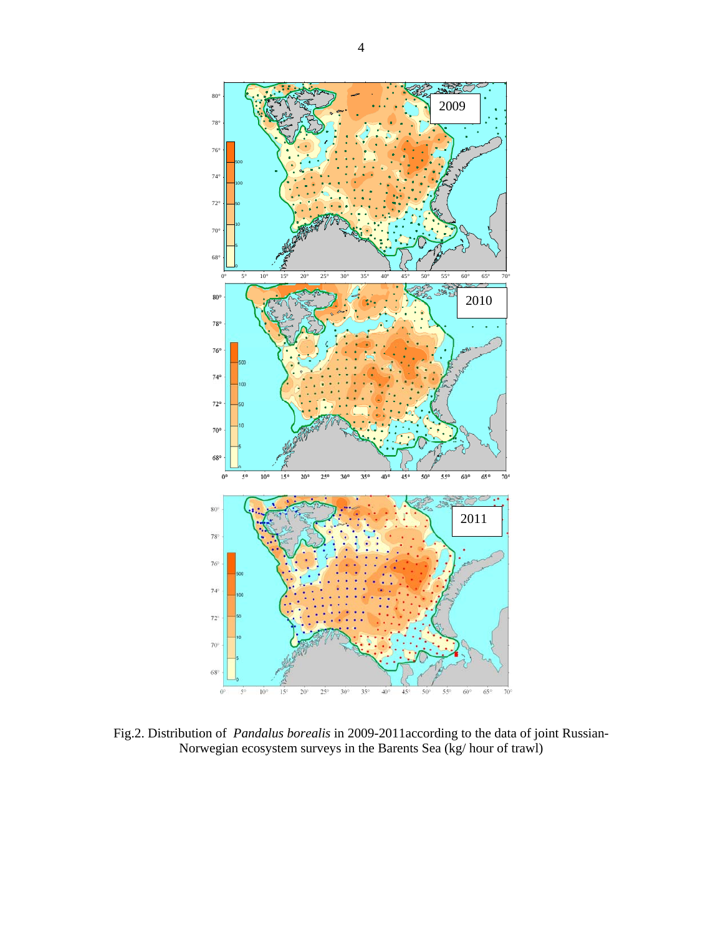

Fig.2. Distribution of *Pandalus borealis* in 2009-2011according to the data of joint Russian-Norwegian ecosystem surveys in the Barents Sea (kg/ hour of trawl)